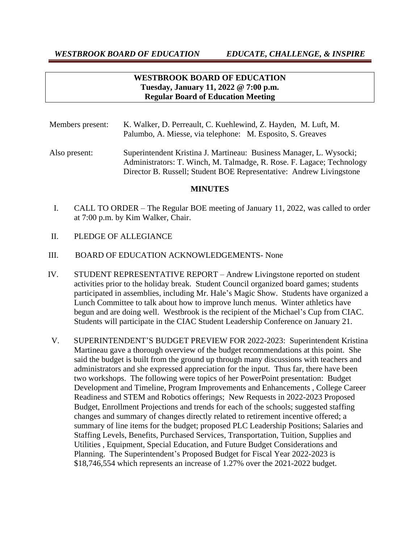# **WESTBROOK BOARD OF EDUCATION Tuesday, January 11, 2022 @ 7:00 p.m. Regular Board of Education Meeting**

- Members present: K. Walker, D. Perreault, C. Kuehlewind, Z. Hayden, M. Luft, M. Palumbo, A. Miesse, via telephone: M. Esposito, S. Greaves
- Also present: Superintendent Kristina J. Martineau: Business Manager, L. Wysocki; Administrators: T. Winch, M. Talmadge, R. Rose. F. Lagace; Technology Director B. Russell; Student BOE Representative: Andrew Livingstone

### **MINUTES**

- I. CALL TO ORDER The Regular BOE meeting of January 11, 2022, was called to order at 7:00 p.m. by Kim Walker, Chair.
- II. PLEDGE OF ALLEGIANCE
- III. BOARD OF EDUCATION ACKNOWLEDGEMENTS- None
- IV. STUDENT REPRESENTATIVE REPORT Andrew Livingstone reported on student activities prior to the holiday break. Student Council organized board games; students participated in assemblies, including Mr. Hale's Magic Show. Students have organized a Lunch Committee to talk about how to improve lunch menus. Winter athletics have begun and are doing well. Westbrook is the recipient of the Michael's Cup from CIAC. Students will participate in the CIAC Student Leadership Conference on January 21.
- V. SUPERINTENDENT'S BUDGET PREVIEW FOR 2022-2023: Superintendent Kristina Martineau gave a thorough overview of the budget recommendations at this point. She said the budget is built from the ground up through many discussions with teachers and administrators and she expressed appreciation for the input. Thus far, there have been two workshops. The following were topics of her PowerPoint presentation: Budget Development and Timeline, Program Improvements and Enhancements , College Career Readiness and STEM and Robotics offerings; New Requests in 2022-2023 Proposed Budget, Enrollment Projections and trends for each of the schools; suggested staffing changes and summary of changes directly related to retirement incentive offered; a summary of line items for the budget; proposed PLC Leadership Positions; Salaries and Staffing Levels, Benefits, Purchased Services, Transportation, Tuition, Supplies and Utilities , Equipment, Special Education, and Future Budget Considerations and Planning. The Superintendent's Proposed Budget for Fiscal Year 2022-2023 is \$18,746,554 which represents an increase of 1.27% over the 2021-2022 budget.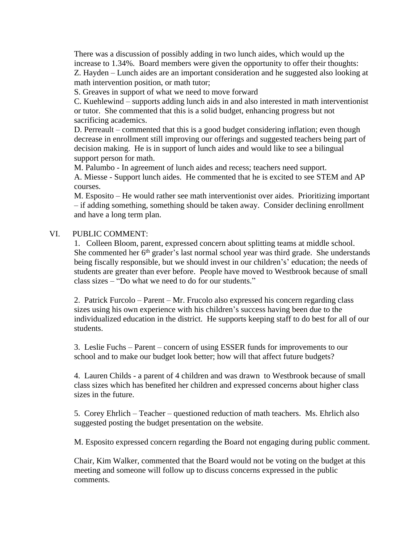There was a discussion of possibly adding in two lunch aides, which would up the increase to 1.34%. Board members were given the opportunity to offer their thoughts: Z. Hayden – Lunch aides are an important consideration and he suggested also looking at math intervention position, or math tutor;

S. Greaves in support of what we need to move forward

C. Kuehlewind – supports adding lunch aids in and also interested in math interventionist or tutor. She commented that this is a solid budget, enhancing progress but not sacrificing academics.

D. Perreault – commented that this is a good budget considering inflation; even though decrease in enrollment still improving our offerings and suggested teachers being part of decision making. He is in support of lunch aides and would like to see a bilingual support person for math.

M. Palumbo - In agreement of lunch aides and recess; teachers need support. A. Miesse - Support lunch aides. He commented that he is excited to see STEM and AP courses.

M. Esposito – He would rather see math interventionist over aides. Prioritizing important – if adding something, something should be taken away. Consider declining enrollment and have a long term plan.

# VI. PUBLIC COMMENT:

1. Colleen Bloom, parent, expressed concern about splitting teams at middle school. She commented her 6<sup>th</sup> grader's last normal school year was third grade. She understands being fiscally responsible, but we should invest in our children's' education; the needs of students are greater than ever before. People have moved to Westbrook because of small class sizes – "Do what we need to do for our students."

2. Patrick Furcolo – Parent – Mr. Frucolo also expressed his concern regarding class sizes using his own experience with his children's success having been due to the individualized education in the district. He supports keeping staff to do best for all of our students.

3. Leslie Fuchs – Parent – concern of using ESSER funds for improvements to our school and to make our budget look better; how will that affect future budgets?

4. Lauren Childs - a parent of 4 children and was drawn to Westbrook because of small class sizes which has benefited her children and expressed concerns about higher class sizes in the future.

5. Corey Ehrlich – Teacher – questioned reduction of math teachers. Ms. Ehrlich also suggested posting the budget presentation on the website.

M. Esposito expressed concern regarding the Board not engaging during public comment.

Chair, Kim Walker, commented that the Board would not be voting on the budget at this meeting and someone will follow up to discuss concerns expressed in the public comments.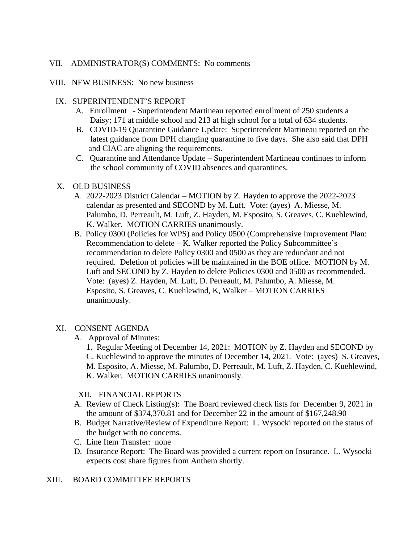### VII. ADMINISTRATOR(S) COMMENTS: No comments

#### VIII. NEW BUSINESS: No new business

### IX. SUPERINTENDENT'S REPORT

- A. Enrollment Superintendent Martineau reported enrollment of 250 students a Daisy; 171 at middle school and 213 at high school for a total of 634 students.
- B. COVID-19 Quarantine Guidance Update: Superintendent Martineau reported on the latest guidance from DPH changing quarantine to five days. She also said that DPH and CIAC are aligning the requirements.
- C. Quarantine and Attendance Update Superintendent Martineau continues to inform the school community of COVID absences and quarantines.

### X. OLD BUSINESS

- A. 2022-2023 District Calendar MOTION by Z. Hayden to approve the 2022-2023 calendar as presented and SECOND by M. Luft. Vote: (ayes) A. Miesse, M. Palumbo, D. Perreault, M. Luft, Z. Hayden, M. Esposito, S. Greaves, C. Kuehlewind, K. Walker. MOTION CARRIES unanimously.
- B. Policy 0300 (Policies for WPS) and Policy 0500 (Comprehensive Improvement Plan: Recommendation to delete – K. Walker reported the Policy Subcommittee's recommendation to delete Policy 0300 and 0500 as they are redundant and not required. Deletion of policies will be maintained in the BOE office. MOTION by M. Luft and SECOND by Z. Hayden to delete Policies 0300 and 0500 as recommended. Vote: (ayes) Z. Hayden, M. Luft, D. Perreault, M. Palumbo, A. Miesse, M. Esposito, S. Greaves, C. Kuehlewind, K, Walker – MOTION CARRIES unanimously.

### XI. CONSENT AGENDA

A. Approval of Minutes:

1. Regular Meeting of December 14, 2021: MOTION by Z. Hayden and SECOND by C. Kuehlewind to approve the minutes of December 14, 2021. Vote: (ayes) S. Greaves, M. Esposito, A. Miesse, M. Palumbo, D. Perreault, M. Luft, Z. Hayden, C. Kuehlewind, K. Walker. MOTION CARRIES unanimously.

### XII. FINANCIAL REPORTS

- A. Review of Check Listing(s): The Board reviewed check lists for December 9, 2021 in the amount of \$374,370.81 and for December 22 in the amount of \$167,248.90
- B. Budget Narrative/Review of Expenditure Report: L. Wysocki reported on the status of the budget with no concerns.
- C. Line Item Transfer: none
- D. Insurance Report: The Board was provided a current report on Insurance. L. Wysocki expects cost share figures from Anthem shortly.

### XIII. BOARD COMMITTEE REPORTS